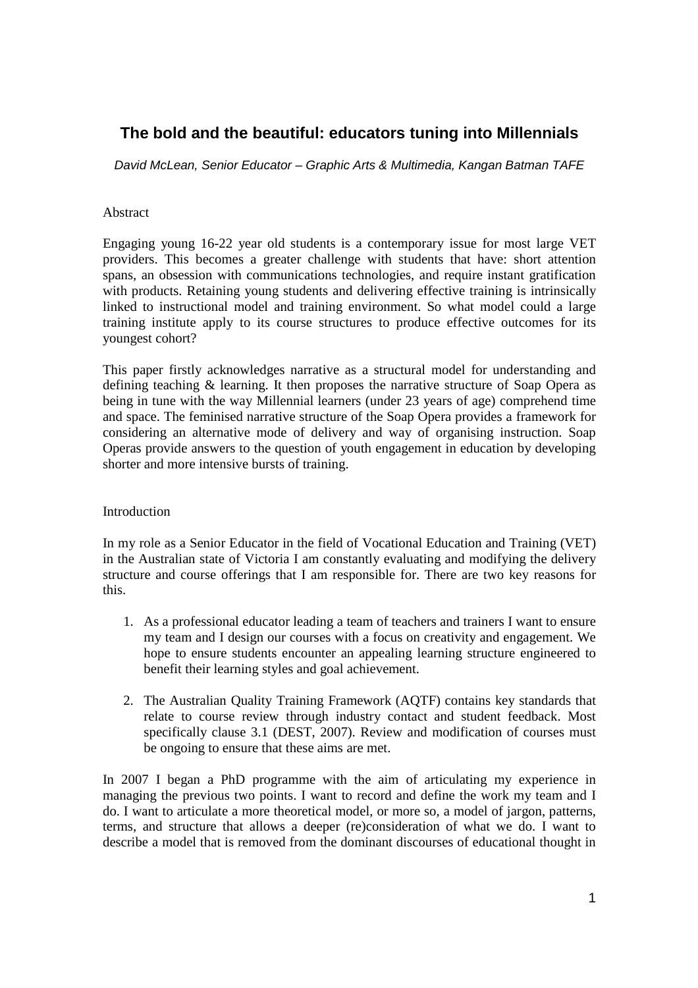# **The bold and the beautiful: educators tuning into Millennials**

David McLean, Senior Educator – Graphic Arts & Multimedia, Kangan Batman TAFE

### Abstract

Engaging young 16-22 year old students is a contemporary issue for most large VET providers. This becomes a greater challenge with students that have: short attention spans, an obsession with communications technologies, and require instant gratification with products. Retaining young students and delivering effective training is intrinsically linked to instructional model and training environment. So what model could a large training institute apply to its course structures to produce effective outcomes for its youngest cohort?

This paper firstly acknowledges narrative as a structural model for understanding and defining teaching & learning. It then proposes the narrative structure of Soap Opera as being in tune with the way Millennial learners (under 23 years of age) comprehend time and space. The feminised narrative structure of the Soap Opera provides a framework for considering an alternative mode of delivery and way of organising instruction. Soap Operas provide answers to the question of youth engagement in education by developing shorter and more intensive bursts of training.

# Introduction

In my role as a Senior Educator in the field of Vocational Education and Training (VET) in the Australian state of Victoria I am constantly evaluating and modifying the delivery structure and course offerings that I am responsible for. There are two key reasons for this.

- 1. As a professional educator leading a team of teachers and trainers I want to ensure my team and I design our courses with a focus on creativity and engagement. We hope to ensure students encounter an appealing learning structure engineered to benefit their learning styles and goal achievement.
- 2. The Australian Quality Training Framework (AQTF) contains key standards that relate to course review through industry contact and student feedback. Most specifically clause 3.1 (DEST, 2007). Review and modification of courses must be ongoing to ensure that these aims are met.

In 2007 I began a PhD programme with the aim of articulating my experience in managing the previous two points. I want to record and define the work my team and I do. I want to articulate a more theoretical model, or more so, a model of jargon, patterns, terms, and structure that allows a deeper (re)consideration of what we do. I want to describe a model that is removed from the dominant discourses of educational thought in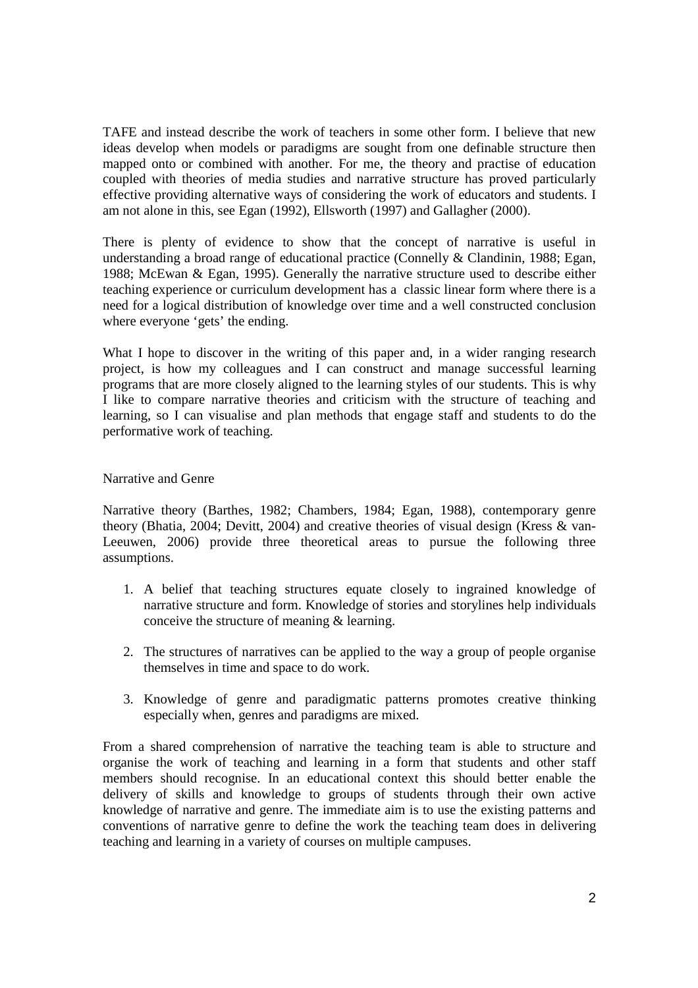TAFE and instead describe the work of teachers in some other form. I believe that new ideas develop when models or paradigms are sought from one definable structure then mapped onto or combined with another. For me, the theory and practise of education coupled with theories of media studies and narrative structure has proved particularly effective providing alternative ways of considering the work of educators and students. I am not alone in this, see Egan (1992), Ellsworth (1997) and Gallagher (2000).

There is plenty of evidence to show that the concept of narrative is useful in understanding a broad range of educational practice (Connelly & Clandinin, 1988; Egan, 1988; McEwan & Egan, 1995). Generally the narrative structure used to describe either teaching experience or curriculum development has a classic linear form where there is a need for a logical distribution of knowledge over time and a well constructed conclusion where everyone 'gets' the ending.

What I hope to discover in the writing of this paper and, in a wider ranging research project, is how my colleagues and I can construct and manage successful learning programs that are more closely aligned to the learning styles of our students. This is why I like to compare narrative theories and criticism with the structure of teaching and learning, so I can visualise and plan methods that engage staff and students to do the performative work of teaching.

# Narrative and Genre

Narrative theory (Barthes, 1982; Chambers, 1984; Egan, 1988), contemporary genre theory (Bhatia, 2004; Devitt, 2004) and creative theories of visual design (Kress & van-Leeuwen, 2006) provide three theoretical areas to pursue the following three assumptions.

- 1. A belief that teaching structures equate closely to ingrained knowledge of narrative structure and form. Knowledge of stories and storylines help individuals conceive the structure of meaning & learning.
- 2. The structures of narratives can be applied to the way a group of people organise themselves in time and space to do work.
- 3. Knowledge of genre and paradigmatic patterns promotes creative thinking especially when, genres and paradigms are mixed.

From a shared comprehension of narrative the teaching team is able to structure and organise the work of teaching and learning in a form that students and other staff members should recognise. In an educational context this should better enable the delivery of skills and knowledge to groups of students through their own active knowledge of narrative and genre. The immediate aim is to use the existing patterns and conventions of narrative genre to define the work the teaching team does in delivering teaching and learning in a variety of courses on multiple campuses.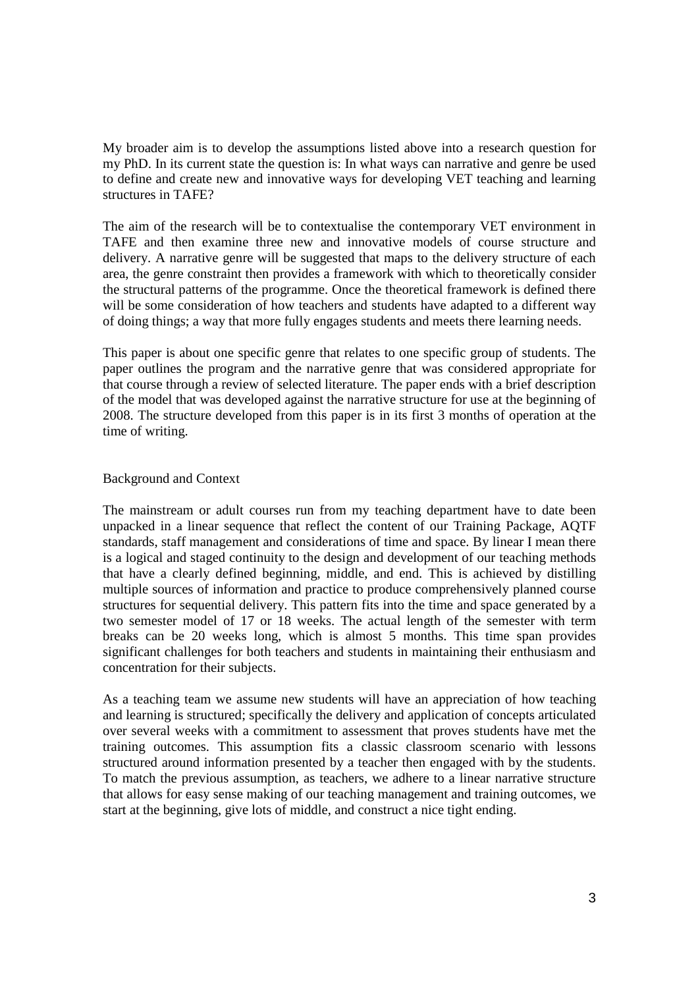My broader aim is to develop the assumptions listed above into a research question for my PhD. In its current state the question is: In what ways can narrative and genre be used to define and create new and innovative ways for developing VET teaching and learning structures in TAFE?

The aim of the research will be to contextualise the contemporary VET environment in TAFE and then examine three new and innovative models of course structure and delivery. A narrative genre will be suggested that maps to the delivery structure of each area, the genre constraint then provides a framework with which to theoretically consider the structural patterns of the programme. Once the theoretical framework is defined there will be some consideration of how teachers and students have adapted to a different way of doing things; a way that more fully engages students and meets there learning needs.

This paper is about one specific genre that relates to one specific group of students. The paper outlines the program and the narrative genre that was considered appropriate for that course through a review of selected literature. The paper ends with a brief description of the model that was developed against the narrative structure for use at the beginning of 2008. The structure developed from this paper is in its first 3 months of operation at the time of writing.

# Background and Context

The mainstream or adult courses run from my teaching department have to date been unpacked in a linear sequence that reflect the content of our Training Package, AQTF standards, staff management and considerations of time and space. By linear I mean there is a logical and staged continuity to the design and development of our teaching methods that have a clearly defined beginning, middle, and end. This is achieved by distilling multiple sources of information and practice to produce comprehensively planned course structures for sequential delivery. This pattern fits into the time and space generated by a two semester model of 17 or 18 weeks. The actual length of the semester with term breaks can be 20 weeks long, which is almost 5 months. This time span provides significant challenges for both teachers and students in maintaining their enthusiasm and concentration for their subjects.

As a teaching team we assume new students will have an appreciation of how teaching and learning is structured; specifically the delivery and application of concepts articulated over several weeks with a commitment to assessment that proves students have met the training outcomes. This assumption fits a classic classroom scenario with lessons structured around information presented by a teacher then engaged with by the students. To match the previous assumption, as teachers, we adhere to a linear narrative structure that allows for easy sense making of our teaching management and training outcomes, we start at the beginning, give lots of middle, and construct a nice tight ending.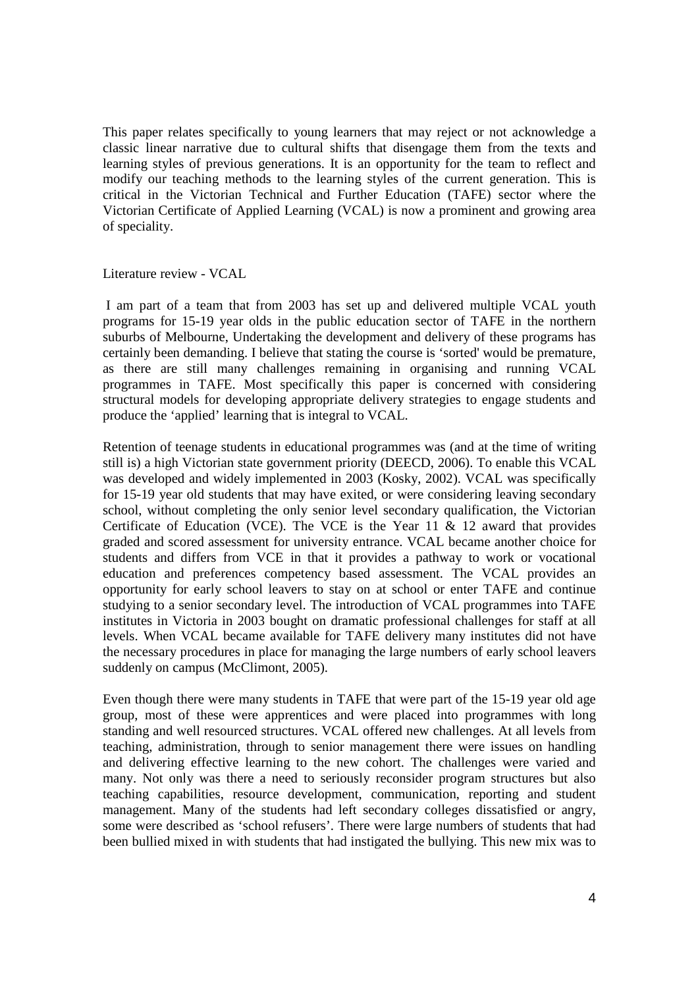This paper relates specifically to young learners that may reject or not acknowledge a classic linear narrative due to cultural shifts that disengage them from the texts and learning styles of previous generations. It is an opportunity for the team to reflect and modify our teaching methods to the learning styles of the current generation. This is critical in the Victorian Technical and Further Education (TAFE) sector where the Victorian Certificate of Applied Learning (VCAL) is now a prominent and growing area of speciality.

Literature review - VCAL

 I am part of a team that from 2003 has set up and delivered multiple VCAL youth programs for 15-19 year olds in the public education sector of TAFE in the northern suburbs of Melbourne, Undertaking the development and delivery of these programs has certainly been demanding. I believe that stating the course is 'sorted' would be premature, as there are still many challenges remaining in organising and running VCAL programmes in TAFE. Most specifically this paper is concerned with considering structural models for developing appropriate delivery strategies to engage students and produce the 'applied' learning that is integral to VCAL.

Retention of teenage students in educational programmes was (and at the time of writing still is) a high Victorian state government priority (DEECD, 2006). To enable this VCAL was developed and widely implemented in 2003 (Kosky, 2002). VCAL was specifically for 15-19 year old students that may have exited, or were considering leaving secondary school, without completing the only senior level secondary qualification, the Victorian Certificate of Education (VCE). The VCE is the Year 11  $\&$  12 award that provides graded and scored assessment for university entrance. VCAL became another choice for students and differs from VCE in that it provides a pathway to work or vocational education and preferences competency based assessment. The VCAL provides an opportunity for early school leavers to stay on at school or enter TAFE and continue studying to a senior secondary level. The introduction of VCAL programmes into TAFE institutes in Victoria in 2003 bought on dramatic professional challenges for staff at all levels. When VCAL became available for TAFE delivery many institutes did not have the necessary procedures in place for managing the large numbers of early school leavers suddenly on campus (McClimont, 2005).

Even though there were many students in TAFE that were part of the 15-19 year old age group, most of these were apprentices and were placed into programmes with long standing and well resourced structures. VCAL offered new challenges. At all levels from teaching, administration, through to senior management there were issues on handling and delivering effective learning to the new cohort. The challenges were varied and many. Not only was there a need to seriously reconsider program structures but also teaching capabilities, resource development, communication, reporting and student management. Many of the students had left secondary colleges dissatisfied or angry, some were described as 'school refusers'. There were large numbers of students that had been bullied mixed in with students that had instigated the bullying. This new mix was to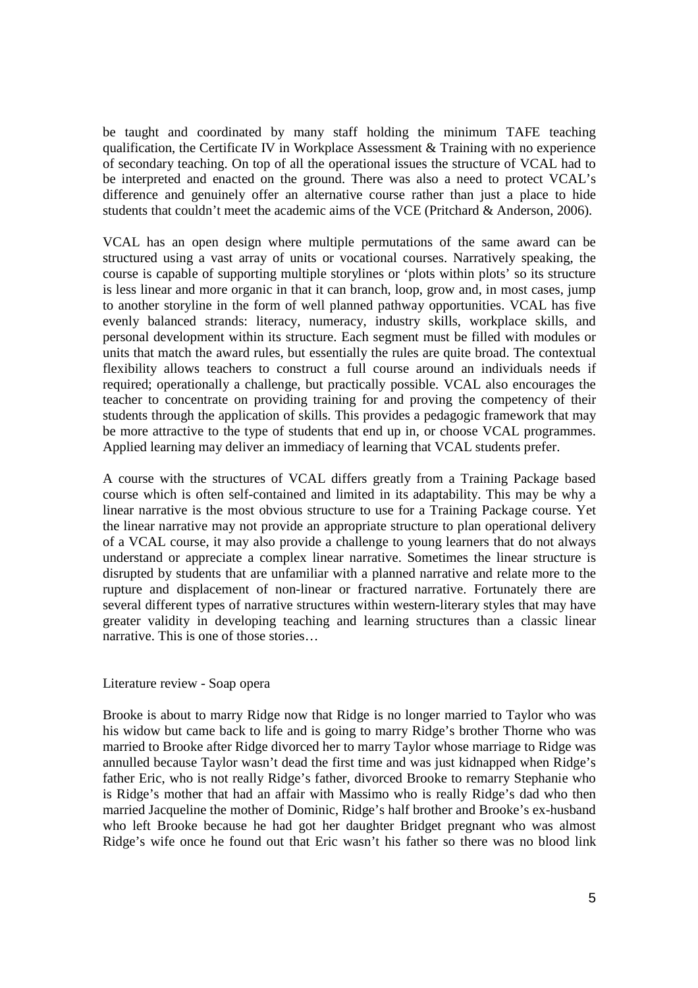be taught and coordinated by many staff holding the minimum TAFE teaching qualification, the Certificate IV in Workplace Assessment & Training with no experience of secondary teaching. On top of all the operational issues the structure of VCAL had to be interpreted and enacted on the ground. There was also a need to protect VCAL's difference and genuinely offer an alternative course rather than just a place to hide students that couldn't meet the academic aims of the VCE (Pritchard & Anderson, 2006).

VCAL has an open design where multiple permutations of the same award can be structured using a vast array of units or vocational courses. Narratively speaking, the course is capable of supporting multiple storylines or 'plots within plots' so its structure is less linear and more organic in that it can branch, loop, grow and, in most cases, jump to another storyline in the form of well planned pathway opportunities. VCAL has five evenly balanced strands: literacy, numeracy, industry skills, workplace skills, and personal development within its structure. Each segment must be filled with modules or units that match the award rules, but essentially the rules are quite broad. The contextual flexibility allows teachers to construct a full course around an individuals needs if required; operationally a challenge, but practically possible. VCAL also encourages the teacher to concentrate on providing training for and proving the competency of their students through the application of skills. This provides a pedagogic framework that may be more attractive to the type of students that end up in, or choose VCAL programmes. Applied learning may deliver an immediacy of learning that VCAL students prefer.

A course with the structures of VCAL differs greatly from a Training Package based course which is often self-contained and limited in its adaptability. This may be why a linear narrative is the most obvious structure to use for a Training Package course. Yet the linear narrative may not provide an appropriate structure to plan operational delivery of a VCAL course, it may also provide a challenge to young learners that do not always understand or appreciate a complex linear narrative. Sometimes the linear structure is disrupted by students that are unfamiliar with a planned narrative and relate more to the rupture and displacement of non-linear or fractured narrative. Fortunately there are several different types of narrative structures within western-literary styles that may have greater validity in developing teaching and learning structures than a classic linear narrative. This is one of those stories…

#### Literature review - Soap opera

Brooke is about to marry Ridge now that Ridge is no longer married to Taylor who was his widow but came back to life and is going to marry Ridge's brother Thorne who was married to Brooke after Ridge divorced her to marry Taylor whose marriage to Ridge was annulled because Taylor wasn't dead the first time and was just kidnapped when Ridge's father Eric, who is not really Ridge's father, divorced Brooke to remarry Stephanie who is Ridge's mother that had an affair with Massimo who is really Ridge's dad who then married Jacqueline the mother of Dominic, Ridge's half brother and Brooke's ex-husband who left Brooke because he had got her daughter Bridget pregnant who was almost Ridge's wife once he found out that Eric wasn't his father so there was no blood link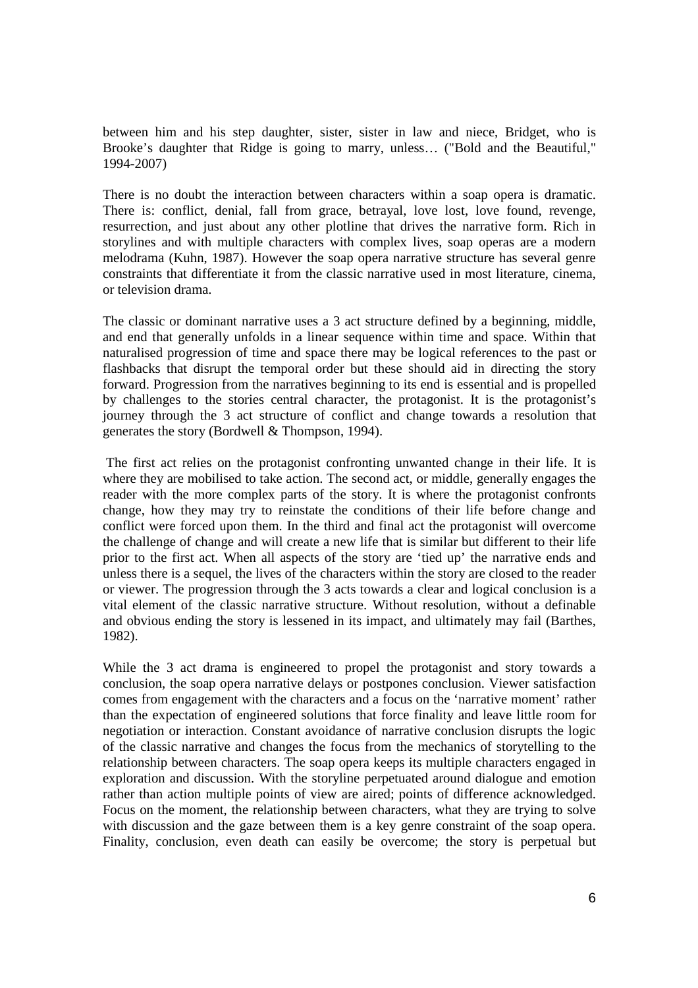between him and his step daughter, sister, sister in law and niece, Bridget, who is Brooke's daughter that Ridge is going to marry, unless… ("Bold and the Beautiful," 1994-2007)

There is no doubt the interaction between characters within a soap opera is dramatic. There is: conflict, denial, fall from grace, betrayal, love lost, love found, revenge, resurrection, and just about any other plotline that drives the narrative form. Rich in storylines and with multiple characters with complex lives, soap operas are a modern melodrama (Kuhn, 1987). However the soap opera narrative structure has several genre constraints that differentiate it from the classic narrative used in most literature, cinema, or television drama.

The classic or dominant narrative uses a 3 act structure defined by a beginning, middle, and end that generally unfolds in a linear sequence within time and space. Within that naturalised progression of time and space there may be logical references to the past or flashbacks that disrupt the temporal order but these should aid in directing the story forward. Progression from the narratives beginning to its end is essential and is propelled by challenges to the stories central character, the protagonist. It is the protagonist's journey through the 3 act structure of conflict and change towards a resolution that generates the story (Bordwell & Thompson, 1994).

 The first act relies on the protagonist confronting unwanted change in their life. It is where they are mobilised to take action. The second act, or middle, generally engages the reader with the more complex parts of the story. It is where the protagonist confronts change, how they may try to reinstate the conditions of their life before change and conflict were forced upon them. In the third and final act the protagonist will overcome the challenge of change and will create a new life that is similar but different to their life prior to the first act. When all aspects of the story are 'tied up' the narrative ends and unless there is a sequel, the lives of the characters within the story are closed to the reader or viewer. The progression through the 3 acts towards a clear and logical conclusion is a vital element of the classic narrative structure. Without resolution, without a definable and obvious ending the story is lessened in its impact, and ultimately may fail (Barthes, 1982).

While the 3 act drama is engineered to propel the protagonist and story towards a conclusion, the soap opera narrative delays or postpones conclusion. Viewer satisfaction comes from engagement with the characters and a focus on the 'narrative moment' rather than the expectation of engineered solutions that force finality and leave little room for negotiation or interaction. Constant avoidance of narrative conclusion disrupts the logic of the classic narrative and changes the focus from the mechanics of storytelling to the relationship between characters. The soap opera keeps its multiple characters engaged in exploration and discussion. With the storyline perpetuated around dialogue and emotion rather than action multiple points of view are aired; points of difference acknowledged. Focus on the moment, the relationship between characters, what they are trying to solve with discussion and the gaze between them is a key genre constraint of the soap opera. Finality, conclusion, even death can easily be overcome; the story is perpetual but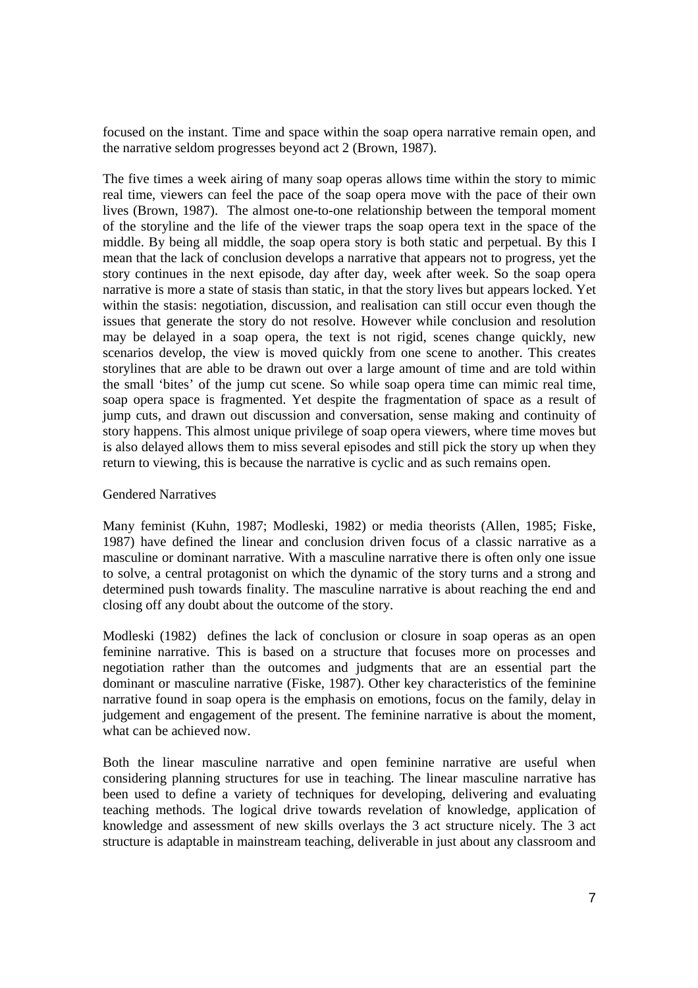focused on the instant. Time and space within the soap opera narrative remain open, and the narrative seldom progresses beyond act 2 (Brown, 1987).

The five times a week airing of many soap operas allows time within the story to mimic real time, viewers can feel the pace of the soap opera move with the pace of their own lives (Brown, 1987). The almost one-to-one relationship between the temporal moment of the storyline and the life of the viewer traps the soap opera text in the space of the middle. By being all middle, the soap opera story is both static and perpetual. By this I mean that the lack of conclusion develops a narrative that appears not to progress, yet the story continues in the next episode, day after day, week after week. So the soap opera narrative is more a state of stasis than static, in that the story lives but appears locked. Yet within the stasis: negotiation, discussion, and realisation can still occur even though the issues that generate the story do not resolve. However while conclusion and resolution may be delayed in a soap opera, the text is not rigid, scenes change quickly, new scenarios develop, the view is moved quickly from one scene to another. This creates storylines that are able to be drawn out over a large amount of time and are told within the small 'bites' of the jump cut scene. So while soap opera time can mimic real time, soap opera space is fragmented. Yet despite the fragmentation of space as a result of jump cuts, and drawn out discussion and conversation, sense making and continuity of story happens. This almost unique privilege of soap opera viewers, where time moves but is also delayed allows them to miss several episodes and still pick the story up when they return to viewing, this is because the narrative is cyclic and as such remains open.

# Gendered Narratives

Many feminist (Kuhn, 1987; Modleski, 1982) or media theorists (Allen, 1985; Fiske, 1987) have defined the linear and conclusion driven focus of a classic narrative as a masculine or dominant narrative. With a masculine narrative there is often only one issue to solve, a central protagonist on which the dynamic of the story turns and a strong and determined push towards finality. The masculine narrative is about reaching the end and closing off any doubt about the outcome of the story.

Modleski (1982) defines the lack of conclusion or closure in soap operas as an open feminine narrative. This is based on a structure that focuses more on processes and negotiation rather than the outcomes and judgments that are an essential part the dominant or masculine narrative (Fiske, 1987). Other key characteristics of the feminine narrative found in soap opera is the emphasis on emotions, focus on the family, delay in judgement and engagement of the present. The feminine narrative is about the moment, what can be achieved now.

Both the linear masculine narrative and open feminine narrative are useful when considering planning structures for use in teaching. The linear masculine narrative has been used to define a variety of techniques for developing, delivering and evaluating teaching methods. The logical drive towards revelation of knowledge, application of knowledge and assessment of new skills overlays the 3 act structure nicely. The 3 act structure is adaptable in mainstream teaching, deliverable in just about any classroom and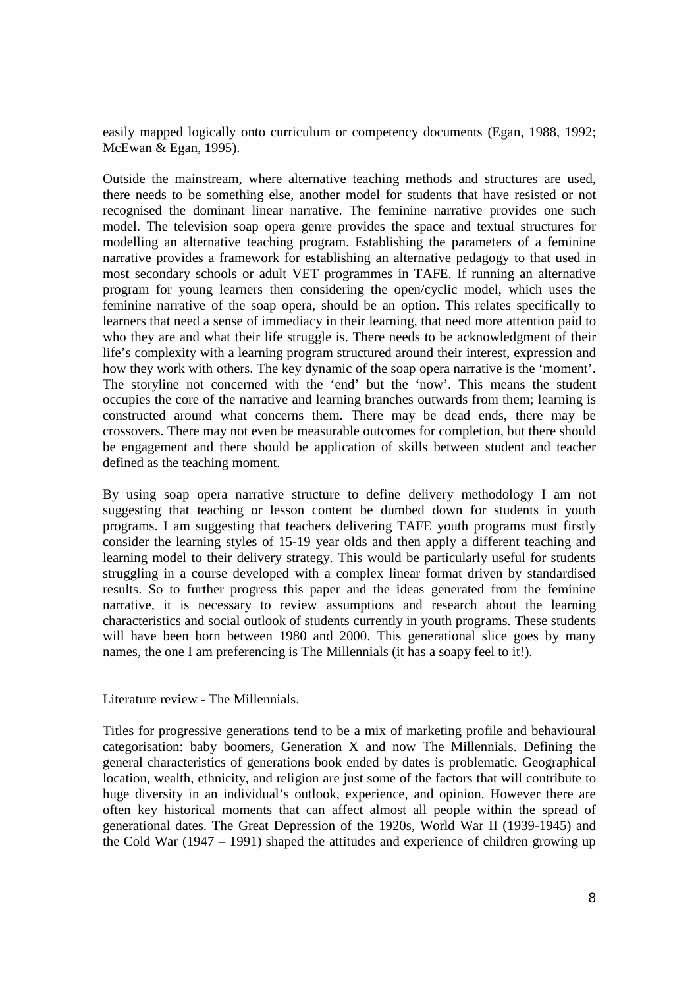easily mapped logically onto curriculum or competency documents (Egan, 1988, 1992; McEwan & Egan, 1995).

Outside the mainstream, where alternative teaching methods and structures are used, there needs to be something else, another model for students that have resisted or not recognised the dominant linear narrative. The feminine narrative provides one such model. The television soap opera genre provides the space and textual structures for modelling an alternative teaching program. Establishing the parameters of a feminine narrative provides a framework for establishing an alternative pedagogy to that used in most secondary schools or adult VET programmes in TAFE. If running an alternative program for young learners then considering the open/cyclic model, which uses the feminine narrative of the soap opera, should be an option. This relates specifically to learners that need a sense of immediacy in their learning, that need more attention paid to who they are and what their life struggle is. There needs to be acknowledgment of their life's complexity with a learning program structured around their interest, expression and how they work with others. The key dynamic of the soap opera narrative is the 'moment'. The storyline not concerned with the 'end' but the 'now'. This means the student occupies the core of the narrative and learning branches outwards from them; learning is constructed around what concerns them. There may be dead ends, there may be crossovers. There may not even be measurable outcomes for completion, but there should be engagement and there should be application of skills between student and teacher defined as the teaching moment.

By using soap opera narrative structure to define delivery methodology I am not suggesting that teaching or lesson content be dumbed down for students in youth programs. I am suggesting that teachers delivering TAFE youth programs must firstly consider the learning styles of 15-19 year olds and then apply a different teaching and learning model to their delivery strategy. This would be particularly useful for students struggling in a course developed with a complex linear format driven by standardised results. So to further progress this paper and the ideas generated from the feminine narrative, it is necessary to review assumptions and research about the learning characteristics and social outlook of students currently in youth programs. These students will have been born between 1980 and 2000. This generational slice goes by many names, the one I am preferencing is The Millennials (it has a soapy feel to it!).

Literature review - The Millennials.

Titles for progressive generations tend to be a mix of marketing profile and behavioural categorisation: baby boomers, Generation X and now The Millennials. Defining the general characteristics of generations book ended by dates is problematic. Geographical location, wealth, ethnicity, and religion are just some of the factors that will contribute to huge diversity in an individual's outlook, experience, and opinion. However there are often key historical moments that can affect almost all people within the spread of generational dates. The Great Depression of the 1920s, World War II (1939-1945) and the Cold War (1947 – 1991) shaped the attitudes and experience of children growing up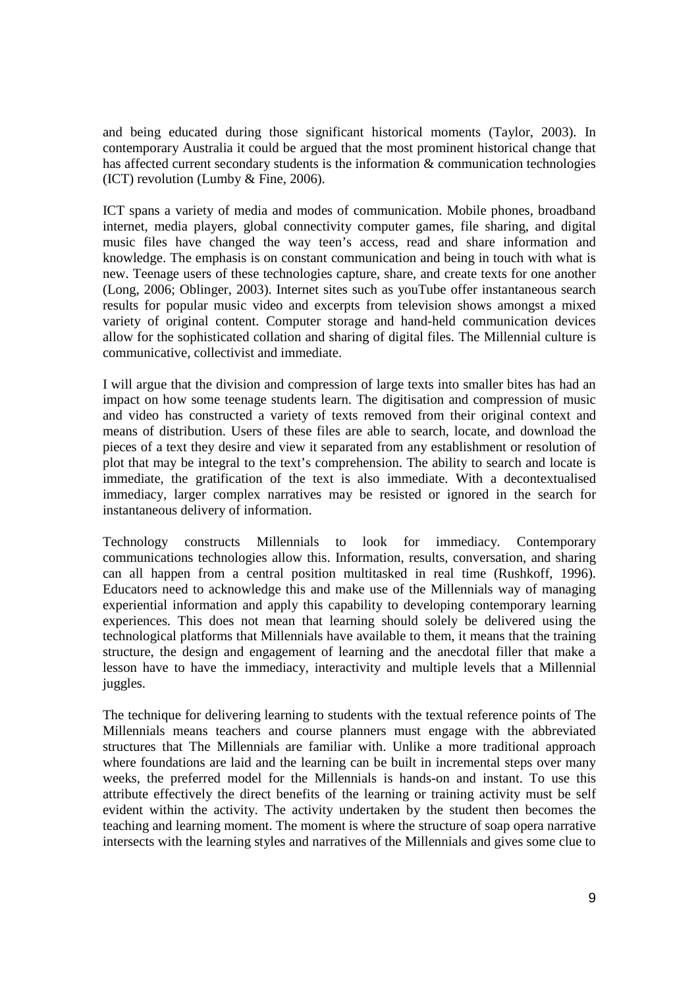and being educated during those significant historical moments (Taylor, 2003). In contemporary Australia it could be argued that the most prominent historical change that has affected current secondary students is the information & communication technologies (ICT) revolution (Lumby & Fine, 2006).

ICT spans a variety of media and modes of communication. Mobile phones, broadband internet, media players, global connectivity computer games, file sharing, and digital music files have changed the way teen's access, read and share information and knowledge. The emphasis is on constant communication and being in touch with what is new. Teenage users of these technologies capture, share, and create texts for one another (Long, 2006; Oblinger, 2003). Internet sites such as youTube offer instantaneous search results for popular music video and excerpts from television shows amongst a mixed variety of original content. Computer storage and hand-held communication devices allow for the sophisticated collation and sharing of digital files. The Millennial culture is communicative, collectivist and immediate.

I will argue that the division and compression of large texts into smaller bites has had an impact on how some teenage students learn. The digitisation and compression of music and video has constructed a variety of texts removed from their original context and means of distribution. Users of these files are able to search, locate, and download the pieces of a text they desire and view it separated from any establishment or resolution of plot that may be integral to the text's comprehension. The ability to search and locate is immediate, the gratification of the text is also immediate. With a decontextualised immediacy, larger complex narratives may be resisted or ignored in the search for instantaneous delivery of information.

Technology constructs Millennials to look for immediacy. Contemporary communications technologies allow this. Information, results, conversation, and sharing can all happen from a central position multitasked in real time (Rushkoff, 1996). Educators need to acknowledge this and make use of the Millennials way of managing experiential information and apply this capability to developing contemporary learning experiences. This does not mean that learning should solely be delivered using the technological platforms that Millennials have available to them, it means that the training structure, the design and engagement of learning and the anecdotal filler that make a lesson have to have the immediacy, interactivity and multiple levels that a Millennial juggles.

The technique for delivering learning to students with the textual reference points of The Millennials means teachers and course planners must engage with the abbreviated structures that The Millennials are familiar with. Unlike a more traditional approach where foundations are laid and the learning can be built in incremental steps over many weeks, the preferred model for the Millennials is hands-on and instant. To use this attribute effectively the direct benefits of the learning or training activity must be self evident within the activity. The activity undertaken by the student then becomes the teaching and learning moment. The moment is where the structure of soap opera narrative intersects with the learning styles and narratives of the Millennials and gives some clue to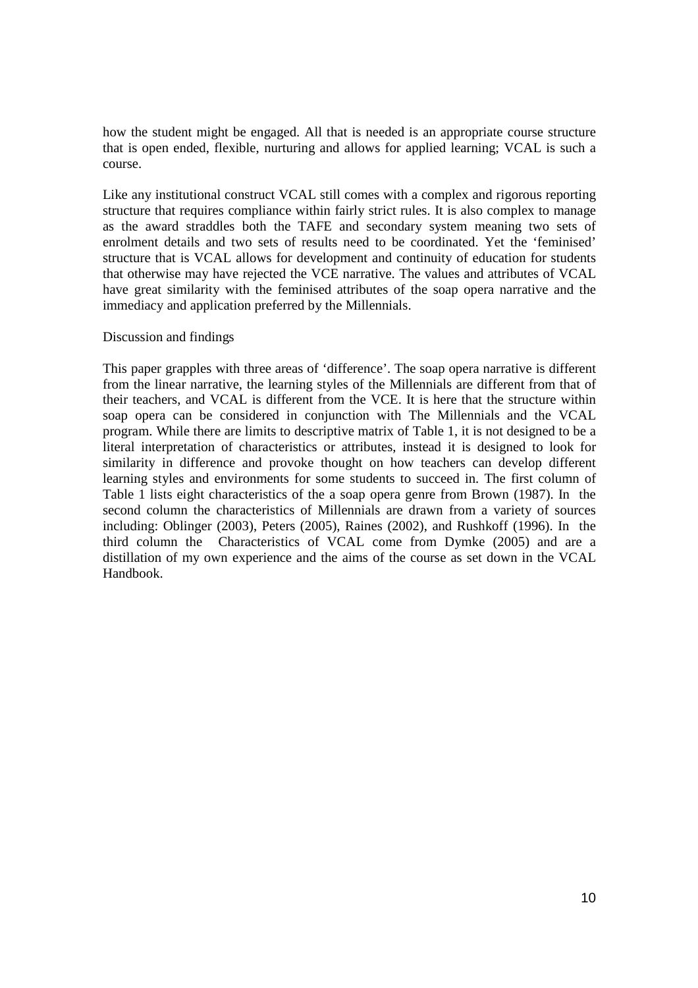how the student might be engaged. All that is needed is an appropriate course structure that is open ended, flexible, nurturing and allows for applied learning; VCAL is such a course.

Like any institutional construct VCAL still comes with a complex and rigorous reporting structure that requires compliance within fairly strict rules. It is also complex to manage as the award straddles both the TAFE and secondary system meaning two sets of enrolment details and two sets of results need to be coordinated. Yet the 'feminised' structure that is VCAL allows for development and continuity of education for students that otherwise may have rejected the VCE narrative. The values and attributes of VCAL have great similarity with the feminised attributes of the soap opera narrative and the immediacy and application preferred by the Millennials.

# Discussion and findings

This paper grapples with three areas of 'difference'. The soap opera narrative is different from the linear narrative, the learning styles of the Millennials are different from that of their teachers, and VCAL is different from the VCE. It is here that the structure within soap opera can be considered in conjunction with The Millennials and the VCAL program. While there are limits to descriptive matrix of Table 1, it is not designed to be a literal interpretation of characteristics or attributes, instead it is designed to look for similarity in difference and provoke thought on how teachers can develop different learning styles and environments for some students to succeed in. The first column of Table 1 lists eight characteristics of the a soap opera genre from Brown (1987). In the second column the characteristics of Millennials are drawn from a variety of sources including: Oblinger (2003), Peters (2005), Raines (2002), and Rushkoff (1996). In the third column the Characteristics of VCAL come from Dymke (2005) and are a distillation of my own experience and the aims of the course as set down in the VCAL Handbook.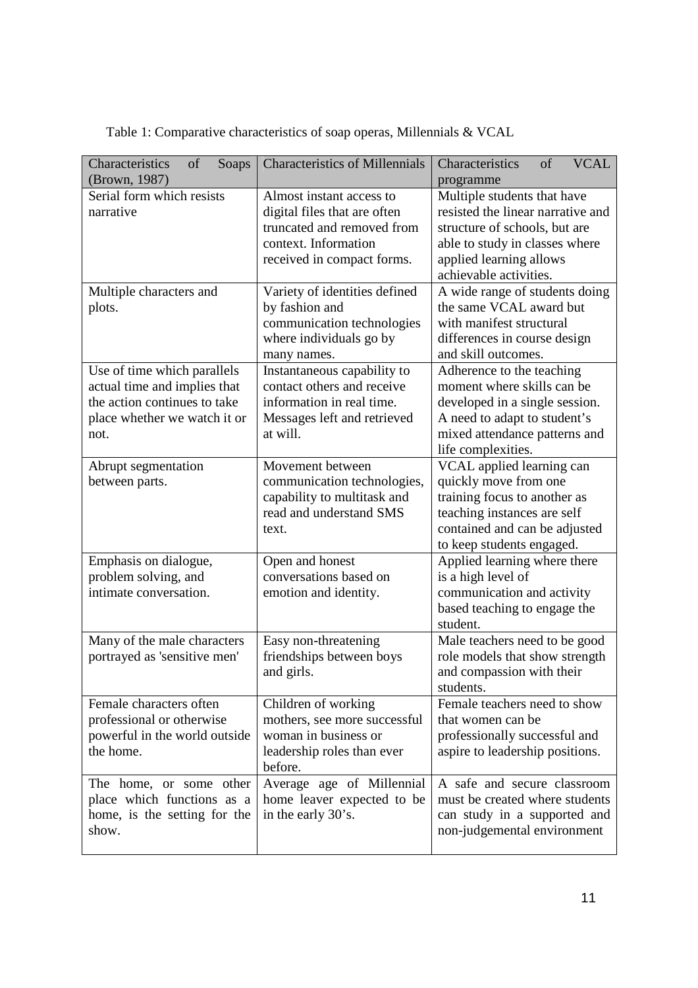| Characteristics<br>of<br>Soaps | <b>Characteristics of Millennials</b> | Characteristics<br><b>VCAL</b><br>of |
|--------------------------------|---------------------------------------|--------------------------------------|
| (Brown, 1987)                  |                                       | programme                            |
| Serial form which resists      | Almost instant access to              | Multiple students that have          |
| narrative                      | digital files that are often          | resisted the linear narrative and    |
|                                | truncated and removed from            | structure of schools, but are        |
|                                | context. Information                  | able to study in classes where       |
|                                | received in compact forms.            | applied learning allows              |
|                                |                                       | achievable activities.               |
| Multiple characters and        | Variety of identities defined         | A wide range of students doing       |
| plots.                         | by fashion and                        | the same VCAL award but              |
|                                | communication technologies            | with manifest structural             |
|                                | where individuals go by               | differences in course design         |
|                                | many names.                           | and skill outcomes.                  |
| Use of time which parallels    | Instantaneous capability to           | Adherence to the teaching            |
| actual time and implies that   | contact others and receive            | moment where skills can be           |
| the action continues to take   | information in real time.             | developed in a single session.       |
| place whether we watch it or   | Messages left and retrieved           | A need to adapt to student's         |
| not.                           | at will.                              | mixed attendance patterns and        |
|                                |                                       | life complexities.                   |
| Abrupt segmentation            | Movement between                      | VCAL applied learning can            |
| between parts.                 | communication technologies,           | quickly move from one                |
|                                | capability to multitask and           | training focus to another as         |
|                                | read and understand SMS               | teaching instances are self          |
|                                | text.                                 | contained and can be adjusted        |
|                                |                                       | to keep students engaged.            |
| Emphasis on dialogue,          | Open and honest                       | Applied learning where there         |
| problem solving, and           | conversations based on                | is a high level of                   |
| intimate conversation.         | emotion and identity.                 | communication and activity           |
|                                |                                       | based teaching to engage the         |
|                                |                                       | student.                             |
| Many of the male characters    | Easy non-threatening                  | Male teachers need to be good        |
| portrayed as 'sensitive men'   | friendships between boys              | role models that show strength       |
|                                | and girls.                            | and compassion with their            |
|                                |                                       | students.                            |
| Female characters often        | Children of working                   | Female teachers need to show         |
| professional or otherwise      | mothers, see more successful          | that women can be                    |
| powerful in the world outside  | woman in business or                  | professionally successful and        |
| the home.                      | leadership roles than ever            | aspire to leadership positions.      |
|                                | before.                               |                                      |
| The home, or some other        | Average age of Millennial             | A safe and secure classroom          |
| place which functions as a     | home leaver expected to be            | must be created where students       |
| home, is the setting for the   | in the early 30's.                    | can study in a supported and         |
| show.                          |                                       | non-judgemental environment          |
|                                |                                       |                                      |

Table 1: Comparative characteristics of soap operas, Millennials & VCAL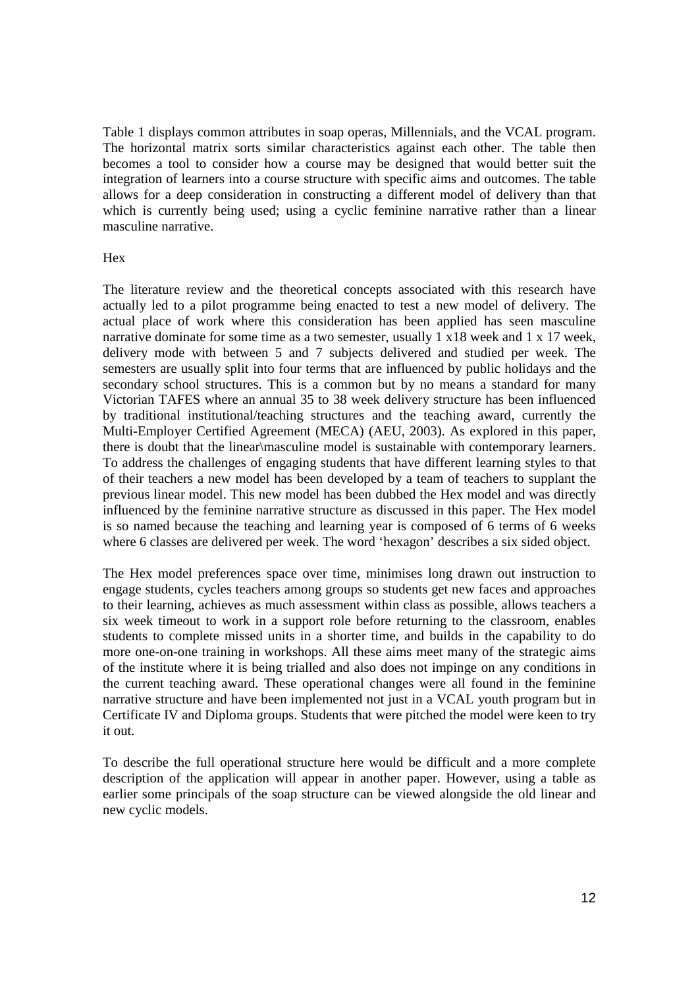Table 1 displays common attributes in soap operas, Millennials, and the VCAL program. The horizontal matrix sorts similar characteristics against each other. The table then becomes a tool to consider how a course may be designed that would better suit the integration of learners into a course structure with specific aims and outcomes. The table allows for a deep consideration in constructing a different model of delivery than that which is currently being used; using a cyclic feminine narrative rather than a linear masculine narrative.

# Hex

The literature review and the theoretical concepts associated with this research have actually led to a pilot programme being enacted to test a new model of delivery. The actual place of work where this consideration has been applied has seen masculine narrative dominate for some time as a two semester, usually 1 x18 week and 1 x 17 week, delivery mode with between 5 and 7 subjects delivered and studied per week. The semesters are usually split into four terms that are influenced by public holidays and the secondary school structures. This is a common but by no means a standard for many Victorian TAFES where an annual 35 to 38 week delivery structure has been influenced by traditional institutional/teaching structures and the teaching award, currently the Multi-Employer Certified Agreement (MECA) (AEU, 2003). As explored in this paper, there is doubt that the linear\masculine model is sustainable with contemporary learners. To address the challenges of engaging students that have different learning styles to that of their teachers a new model has been developed by a team of teachers to supplant the previous linear model. This new model has been dubbed the Hex model and was directly influenced by the feminine narrative structure as discussed in this paper. The Hex model is so named because the teaching and learning year is composed of 6 terms of 6 weeks where 6 classes are delivered per week. The word 'hexagon' describes a six sided object.

The Hex model preferences space over time, minimises long drawn out instruction to engage students, cycles teachers among groups so students get new faces and approaches to their learning, achieves as much assessment within class as possible, allows teachers a six week timeout to work in a support role before returning to the classroom, enables students to complete missed units in a shorter time, and builds in the capability to do more one-on-one training in workshops. All these aims meet many of the strategic aims of the institute where it is being trialled and also does not impinge on any conditions in the current teaching award. These operational changes were all found in the feminine narrative structure and have been implemented not just in a VCAL youth program but in Certificate IV and Diploma groups. Students that were pitched the model were keen to try it out.

To describe the full operational structure here would be difficult and a more complete description of the application will appear in another paper. However, using a table as earlier some principals of the soap structure can be viewed alongside the old linear and new cyclic models.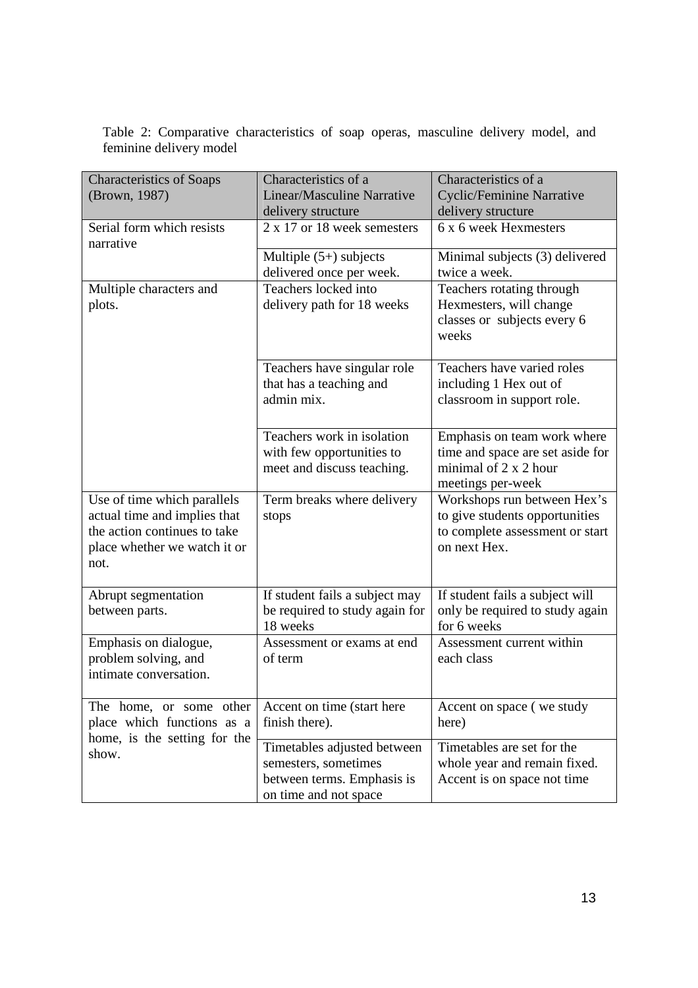|  |                         | Table 2: Comparative characteristics of soap operas, masculine delivery model, and |  |  |  |  |
|--|-------------------------|------------------------------------------------------------------------------------|--|--|--|--|
|  | feminine delivery model |                                                                                    |  |  |  |  |

| <b>Characteristics of Soaps</b><br>(Brown, 1987)                                                                                    | Characteristics of a<br><b>Linear/Masculine Narrative</b><br>delivery structure                            | Characteristics of a<br><b>Cyclic/Feminine Narrative</b><br>delivery structure                                   |  |  |
|-------------------------------------------------------------------------------------------------------------------------------------|------------------------------------------------------------------------------------------------------------|------------------------------------------------------------------------------------------------------------------|--|--|
| Serial form which resists<br>narrative                                                                                              | 2 x 17 or 18 week semesters                                                                                | 6 x 6 week Hexmesters                                                                                            |  |  |
|                                                                                                                                     | Multiple $(5+)$ subjects<br>delivered once per week.                                                       | Minimal subjects (3) delivered<br>twice a week.                                                                  |  |  |
| Multiple characters and<br>plots.                                                                                                   | Teachers locked into<br>delivery path for 18 weeks                                                         | Teachers rotating through<br>Hexmesters, will change<br>classes or subjects every 6<br>weeks                     |  |  |
|                                                                                                                                     | Teachers have singular role<br>that has a teaching and<br>admin mix.                                       | Teachers have varied roles<br>including 1 Hex out of<br>classroom in support role.                               |  |  |
|                                                                                                                                     | Teachers work in isolation<br>with few opportunities to<br>meet and discuss teaching.                      | Emphasis on team work where<br>time and space are set aside for<br>minimal of 2 x 2 hour<br>meetings per-week    |  |  |
| Use of time which parallels<br>actual time and implies that<br>the action continues to take<br>place whether we watch it or<br>not. | Term breaks where delivery<br>stops                                                                        | Workshops run between Hex's<br>to give students opportunities<br>to complete assessment or start<br>on next Hex. |  |  |
| Abrupt segmentation<br>between parts.                                                                                               | If student fails a subject may<br>be required to study again for<br>18 weeks                               | If student fails a subject will<br>only be required to study again<br>for 6 weeks                                |  |  |
| Emphasis on dialogue,<br>problem solving, and<br>intimate conversation.                                                             | Assessment or exams at end<br>of term                                                                      | Assessment current within<br>each class                                                                          |  |  |
| The home, or some other<br>place which functions as a<br>home, is the setting for the                                               | Accent on time (start here<br>finish there).                                                               | Accent on space (we study<br>here)                                                                               |  |  |
| show.                                                                                                                               | Timetables adjusted between<br>semesters, sometimes<br>between terms. Emphasis is<br>on time and not space | Timetables are set for the<br>whole year and remain fixed.<br>Accent is on space not time                        |  |  |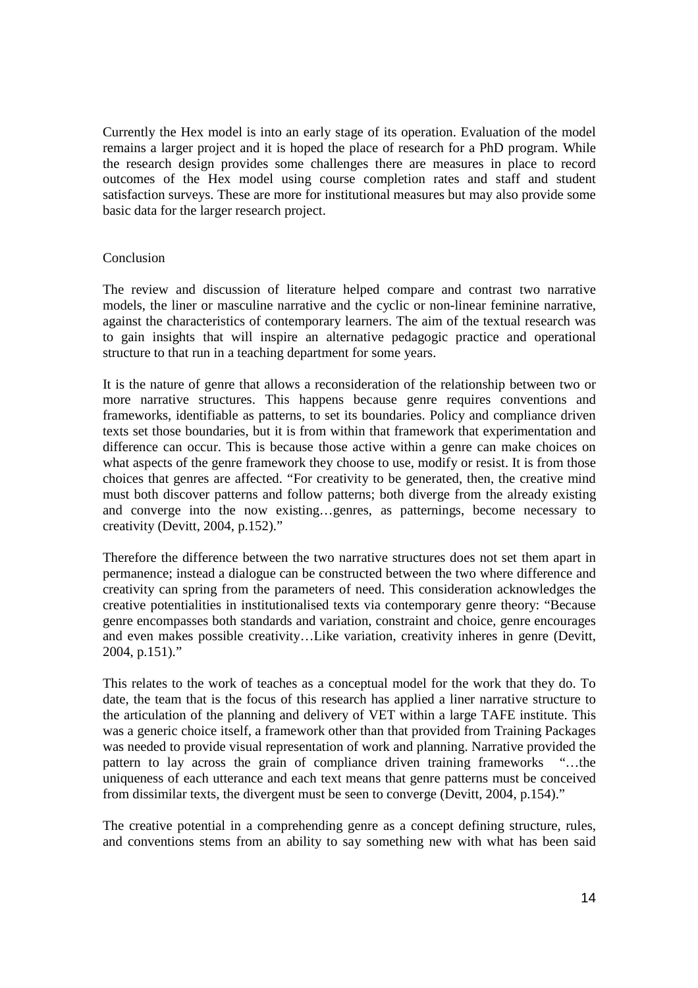Currently the Hex model is into an early stage of its operation. Evaluation of the model remains a larger project and it is hoped the place of research for a PhD program. While the research design provides some challenges there are measures in place to record outcomes of the Hex model using course completion rates and staff and student satisfaction surveys. These are more for institutional measures but may also provide some basic data for the larger research project.

# Conclusion

The review and discussion of literature helped compare and contrast two narrative models, the liner or masculine narrative and the cyclic or non-linear feminine narrative, against the characteristics of contemporary learners. The aim of the textual research was to gain insights that will inspire an alternative pedagogic practice and operational structure to that run in a teaching department for some years.

It is the nature of genre that allows a reconsideration of the relationship between two or more narrative structures. This happens because genre requires conventions and frameworks, identifiable as patterns, to set its boundaries. Policy and compliance driven texts set those boundaries, but it is from within that framework that experimentation and difference can occur. This is because those active within a genre can make choices on what aspects of the genre framework they choose to use, modify or resist. It is from those choices that genres are affected. "For creativity to be generated, then, the creative mind must both discover patterns and follow patterns; both diverge from the already existing and converge into the now existing…genres, as patternings, become necessary to creativity (Devitt, 2004, p.152)."

Therefore the difference between the two narrative structures does not set them apart in permanence; instead a dialogue can be constructed between the two where difference and creativity can spring from the parameters of need. This consideration acknowledges the creative potentialities in institutionalised texts via contemporary genre theory: "Because genre encompasses both standards and variation, constraint and choice, genre encourages and even makes possible creativity…Like variation, creativity inheres in genre (Devitt, 2004, p.151)."

This relates to the work of teaches as a conceptual model for the work that they do. To date, the team that is the focus of this research has applied a liner narrative structure to the articulation of the planning and delivery of VET within a large TAFE institute. This was a generic choice itself, a framework other than that provided from Training Packages was needed to provide visual representation of work and planning. Narrative provided the pattern to lay across the grain of compliance driven training frameworks "…the uniqueness of each utterance and each text means that genre patterns must be conceived from dissimilar texts, the divergent must be seen to converge (Devitt, 2004, p.154)."

The creative potential in a comprehending genre as a concept defining structure, rules, and conventions stems from an ability to say something new with what has been said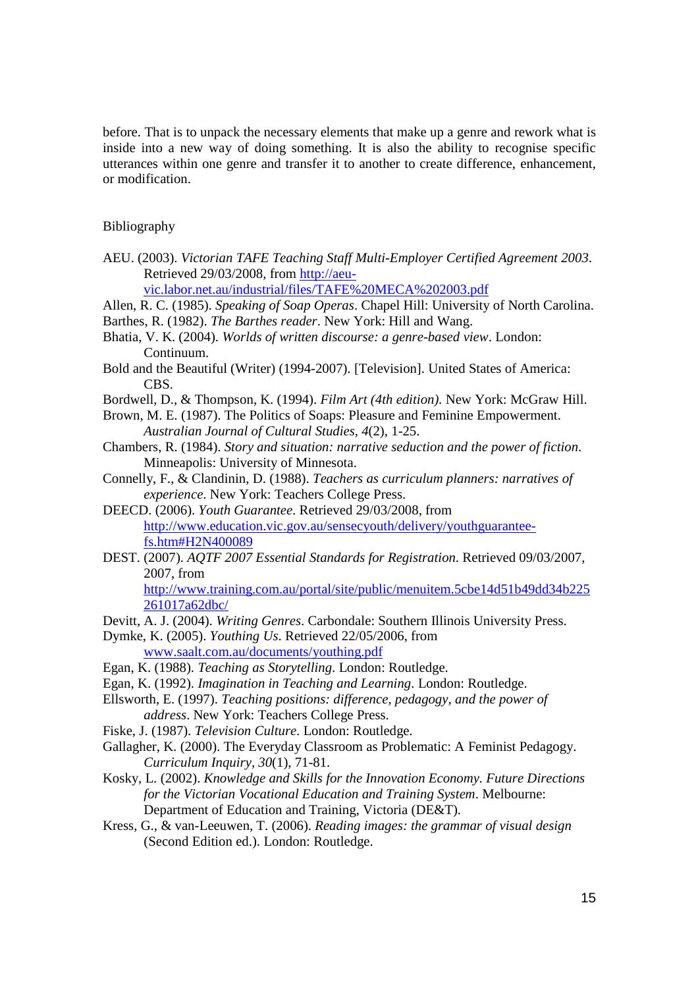before. That is to unpack the necessary elements that make up a genre and rework what is inside into a new way of doing something. It is also the ability to recognise specific utterances within one genre and transfer it to another to create difference, enhancement, or modification.

#### Bibliography

AEU. (2003). *Victorian TAFE Teaching Staff Multi-Employer Certified Agreement 2003*. Retrieved 29/03/2008, from http://aeu-

vic.labor.net.au/industrial/files/TAFE%20MECA%202003.pdf

- Allen, R. C. (1985). *Speaking of Soap Operas*. Chapel Hill: University of North Carolina. Barthes, R. (1982). *The Barthes reader*. New York: Hill and Wang.
- Bhatia, V. K. (2004). *Worlds of written discourse: a genre-based view*. London: Continuum.
- Bold and the Beautiful (Writer) (1994-2007). [Television]. United States of America: CBS.
- Bordwell, D., & Thompson, K. (1994). *Film Art (4th edition).* New York: McGraw Hill.
- Brown, M. E. (1987). The Politics of Soaps: Pleasure and Feminine Empowerment. *Australian Journal of Cultural Studies, 4*(2), 1-25.
- Chambers, R. (1984). *Story and situation: narrative seduction and the power of fiction*. Minneapolis: University of Minnesota.
- Connelly, F., & Clandinin, D. (1988). *Teachers as curriculum planners: narratives of experience*. New York: Teachers College Press.
- DEECD. (2006). *Youth Guarantee*. Retrieved 29/03/2008, from http://www.education.vic.gov.au/sensecyouth/delivery/youthguaranteefs.htm#H2N400089
- DEST. (2007). *AQTF 2007 Essential Standards for Registration*. Retrieved 09/03/2007, 2007, from

http://www.training.com.au/portal/site/public/menuitem.5cbe14d51b49dd34b225 261017a62dbc/

- Devitt, A. J. (2004). *Writing Genres*. Carbondale: Southern Illinois University Press.
- Dymke, K. (2005). *Youthing Us*. Retrieved 22/05/2006, from www.saalt.com.au/documents/youthing.pdf

- Egan, K. (1988). *Teaching as Storytelling*. London: Routledge.
- Egan, K. (1992). *Imagination in Teaching and Learning*. London: Routledge.
- Ellsworth, E. (1997). *Teaching positions: difference, pedagogy, and the power of address*. New York: Teachers College Press.
- Fiske, J. (1987). *Television Culture*. London: Routledge.
- Gallagher, K. (2000). The Everyday Classroom as Problematic: A Feminist Pedagogy. *Curriculum Inquiry, 30*(1), 71-81.
- Kosky, L. (2002). *Knowledge and Skills for the Innovation Economy. Future Directions for the Victorian Vocational Education and Training System*. Melbourne: Department of Education and Training, Victoria (DE&T).
- Kress, G., & van-Leeuwen, T. (2006). *Reading images: the grammar of visual design* (Second Edition ed.). London: Routledge.